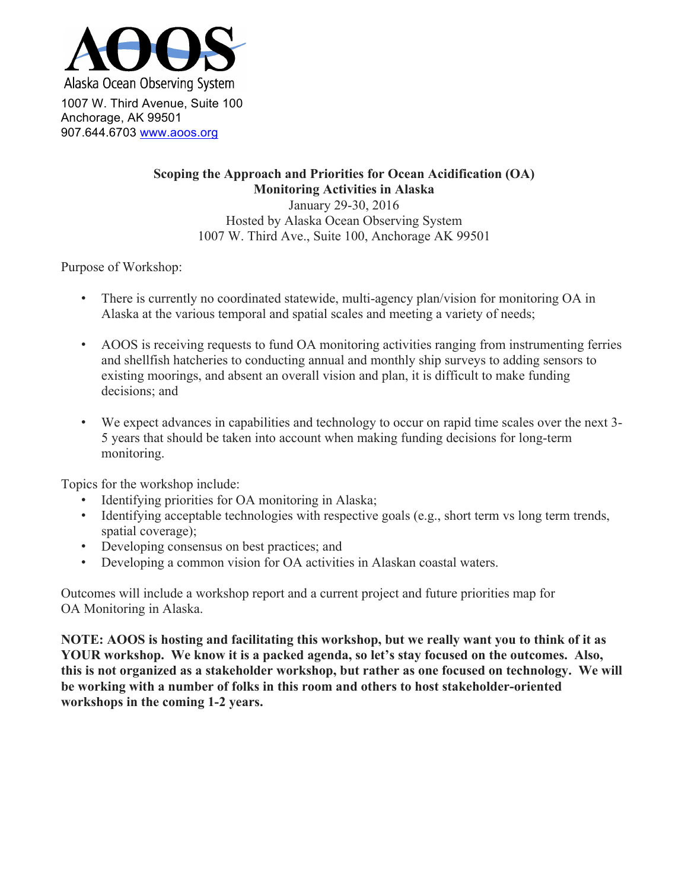

**Scoping the Approach and Priorities for Ocean Acidification (OA) Monitoring Activities in Alaska** January 29-30, 2016 Hosted by Alaska Ocean Observing System

1007 W. Third Ave., Suite 100, Anchorage AK 99501

Purpose of Workshop:

- There is currently no coordinated statewide, multi-agency plan/vision for monitoring OA in Alaska at the various temporal and spatial scales and meeting a variety of needs;
- AOOS is receiving requests to fund OA monitoring activities ranging from instrumenting ferries and shellfish hatcheries to conducting annual and monthly ship surveys to adding sensors to existing moorings, and absent an overall vision and plan, it is difficult to make funding decisions; and
- We expect advances in capabilities and technology to occur on rapid time scales over the next 3- 5 years that should be taken into account when making funding decisions for long-term monitoring.

Topics for the workshop include:

- Identifying priorities for OA monitoring in Alaska;
- Identifying acceptable technologies with respective goals (e.g., short term vs long term trends, spatial coverage);
- Developing consensus on best practices; and
- Developing a common vision for OA activities in Alaskan coastal waters.

Outcomes will include a workshop report and a current project and future priorities map for OA Monitoring in Alaska.

**NOTE: AOOS is hosting and facilitating this workshop, but we really want you to think of it as YOUR workshop. We know it is a packed agenda, so let's stay focused on the outcomes. Also, this is not organized as a stakeholder workshop, but rather as one focused on technology. We will be working with a number of folks in this room and others to host stakeholder-oriented workshops in the coming 1-2 years.**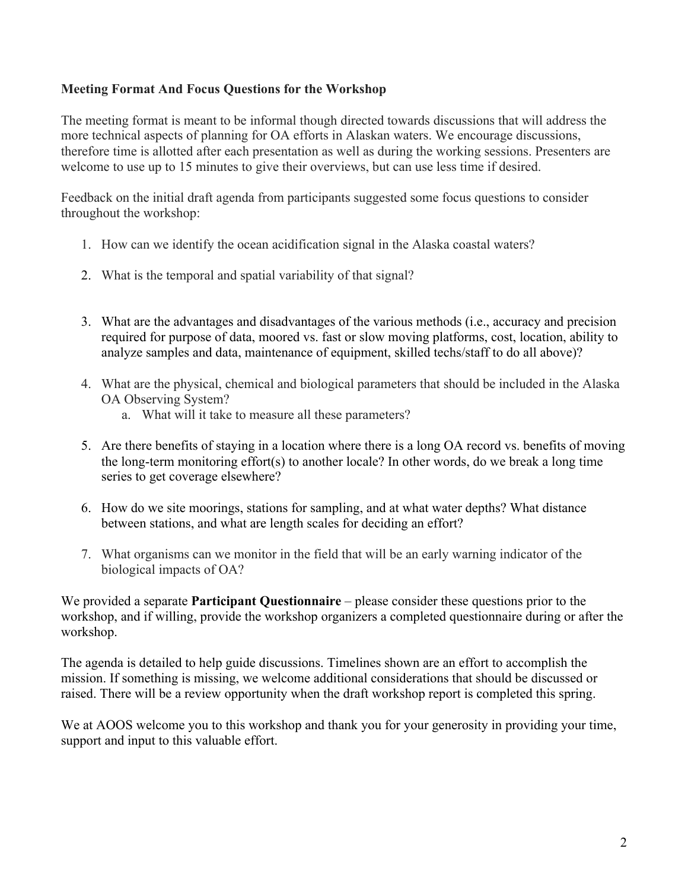# **Meeting Format And Focus Questions for the Workshop**

The meeting format is meant to be informal though directed towards discussions that will address the more technical aspects of planning for OA efforts in Alaskan waters. We encourage discussions, therefore time is allotted after each presentation as well as during the working sessions. Presenters are welcome to use up to 15 minutes to give their overviews, but can use less time if desired.

Feedback on the initial draft agenda from participants suggested some focus questions to consider throughout the workshop:

- 1. How can we identify the ocean acidification signal in the Alaska coastal waters?
- 2. What is the temporal and spatial variability of that signal?
- 3. What are the advantages and disadvantages of the various methods (i.e., accuracy and precision required for purpose of data, moored vs. fast or slow moving platforms, cost, location, ability to analyze samples and data, maintenance of equipment, skilled techs/staff to do all above)?
- 4. What are the physical, chemical and biological parameters that should be included in the Alaska OA Observing System?
	- a. What will it take to measure all these parameters?
- 5. Are there benefits of staying in a location where there is a long OA record vs. benefits of moving the long-term monitoring effort(s) to another locale? In other words, do we break a long time series to get coverage elsewhere?
- 6. How do we site moorings, stations for sampling, and at what water depths? What distance between stations, and what are length scales for deciding an effort?
- 7. What organisms can we monitor in the field that will be an early warning indicator of the biological impacts of OA?

We provided a separate **Participant Questionnaire** – please consider these questions prior to the workshop, and if willing, provide the workshop organizers a completed questionnaire during or after the workshop.

The agenda is detailed to help guide discussions. Timelines shown are an effort to accomplish the mission. If something is missing, we welcome additional considerations that should be discussed or raised. There will be a review opportunity when the draft workshop report is completed this spring.

We at AOOS welcome you to this workshop and thank you for your generosity in providing your time, support and input to this valuable effort.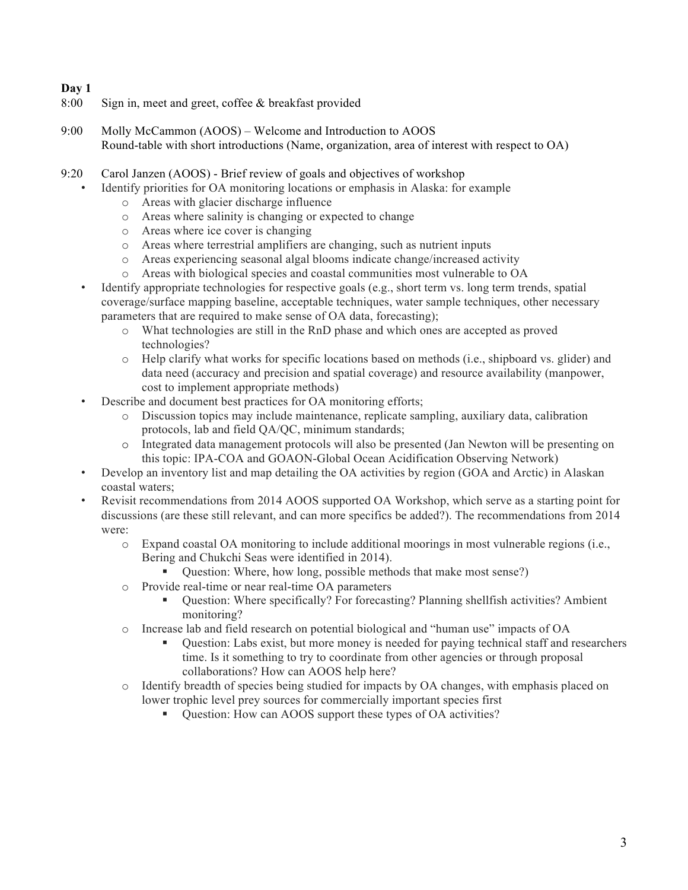# **Day 1**

- 8:00 Sign in, meet and greet, coffee & breakfast provided
- 9:00 Molly McCammon (AOOS) Welcome and Introduction to AOOS Round-table with short introductions (Name, organization, area of interest with respect to OA)
- 9:20 Carol Janzen (AOOS) Brief review of goals and objectives of workshop
	- Identify priorities for OA monitoring locations or emphasis in Alaska: for example
		- o Areas with glacier discharge influence
		- o Areas where salinity is changing or expected to change
		- o Areas where ice cover is changing
		- o Areas where terrestrial amplifiers are changing, such as nutrient inputs
		- o Areas experiencing seasonal algal blooms indicate change/increased activity
		- o Areas with biological species and coastal communities most vulnerable to OA
	- Identify appropriate technologies for respective goals (e.g., short term vs. long term trends, spatial coverage/surface mapping baseline, acceptable techniques, water sample techniques, other necessary parameters that are required to make sense of OA data, forecasting);
		- o What technologies are still in the RnD phase and which ones are accepted as proved technologies?
		- o Help clarify what works for specific locations based on methods (i.e., shipboard vs. glider) and data need (accuracy and precision and spatial coverage) and resource availability (manpower, cost to implement appropriate methods)
	- Describe and document best practices for OA monitoring efforts;
		- o Discussion topics may include maintenance, replicate sampling, auxiliary data, calibration protocols, lab and field QA/QC, minimum standards;
		- o Integrated data management protocols will also be presented (Jan Newton will be presenting on this topic: IPA-COA and GOAON-Global Ocean Acidification Observing Network)
	- Develop an inventory list and map detailing the OA activities by region (GOA and Arctic) in Alaskan coastal waters;
	- Revisit recommendations from 2014 AOOS supported OA Workshop, which serve as a starting point for discussions (are these still relevant, and can more specifics be added?). The recommendations from 2014 were:
		- o Expand coastal OA monitoring to include additional moorings in most vulnerable regions (i.e., Bering and Chukchi Seas were identified in 2014).
			- Question: Where, how long, possible methods that make most sense?)
		- o Provide real-time or near real-time OA parameters
			- § Question: Where specifically? For forecasting? Planning shellfish activities? Ambient monitoring?
		- o Increase lab and field research on potential biological and "human use" impacts of OA
			- § Question: Labs exist, but more money is needed for paying technical staff and researchers time. Is it something to try to coordinate from other agencies or through proposal collaborations? How can AOOS help here?
		- o Identify breadth of species being studied for impacts by OA changes, with emphasis placed on lower trophic level prey sources for commercially important species first
			- Question: How can AOOS support these types of OA activities?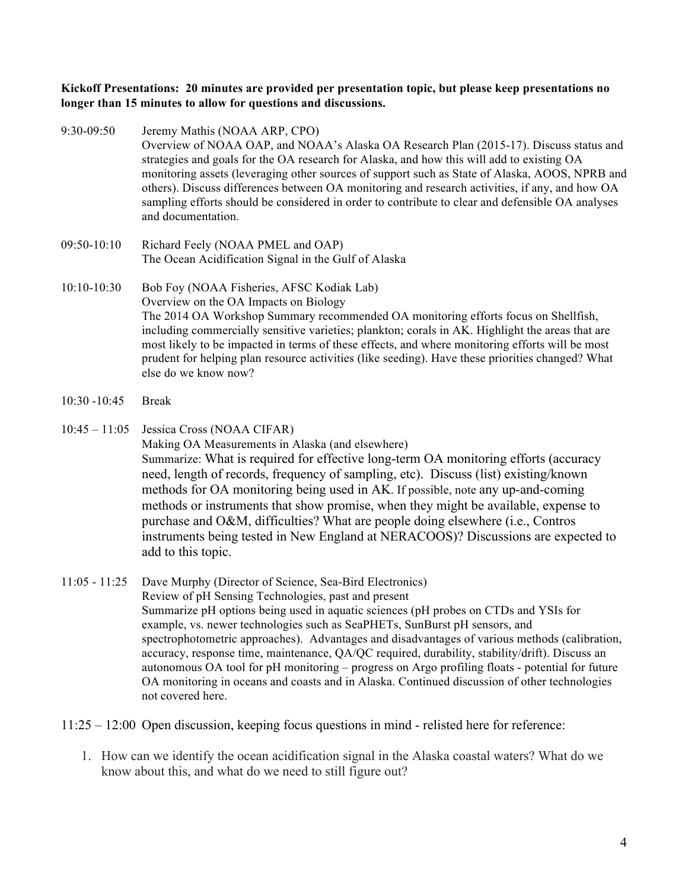#### **Kickoff Presentations: 20 minutes are provided per presentation topic, but please keep presentations no longer than 15 minutes to allow for questions and discussions.**

- 9:30-09:50 Jeremy Mathis (NOAA ARP, CPO) Overview of NOAA OAP, and NOAA's Alaska OA Research Plan (2015-17). Discuss status and strategies and goals for the OA research for Alaska, and how this will add to existing OA monitoring assets (leveraging other sources of support such as State of Alaska, AOOS, NPRB and others). Discuss differences between OA monitoring and research activities, if any, and how OA sampling efforts should be considered in order to contribute to clear and defensible OA analyses and documentation.
- 09:50-10:10 Richard Feely (NOAA PMEL and OAP) The Ocean Acidification Signal in the Gulf of Alaska
- 10:10-10:30 Bob Foy (NOAA Fisheries, AFSC Kodiak Lab) Overview on the OA Impacts on Biology The 2014 OA Workshop Summary recommended OA monitoring efforts focus on Shellfish, including commercially sensitive varieties; plankton; corals in AK. Highlight the areas that are most likely to be impacted in terms of these effects, and where monitoring efforts will be most prudent for helping plan resource activities (like seeding). Have these priorities changed? What else do we know now?
- 10:30 -10:45 Break
- 10:45 11:05 Jessica Cross (NOAA CIFAR) Making OA Measurements in Alaska (and elsewhere) Summarize: What is required for effective long-term OA monitoring efforts (accuracy need, length of records, frequency of sampling, etc). Discuss (list) existing/known methods for OA monitoring being used in AK. If possible, note any up-and-coming methods or instruments that show promise, when they might be available, expense to purchase and O&M, difficulties? What are people doing elsewhere (i.e., Contros instruments being tested in New England at NERACOOS)? Discussions are expected to add to this topic.

#### 11:05 - 11:25 Dave Murphy (Director of Science, Sea-Bird Electronics) Review of pH Sensing Technologies, past and present Summarize pH options being used in aquatic sciences (pH probes on CTDs and YSIs for example, vs. newer technologies such as SeaPHETs, SunBurst pH sensors, and spectrophotometric approaches). Advantages and disadvantages of various methods (calibration, accuracy, response time, maintenance, QA/QC required, durability, stability/drift). Discuss an autonomous OA tool for pH monitoring – progress on Argo profiling floats - potential for future OA monitoring in oceans and coasts and in Alaska. Continued discussion of other technologies not covered here.

11:25 – 12:00 Open discussion, keeping focus questions in mind - relisted here for reference:

1. How can we identify the ocean acidification signal in the Alaska coastal waters? What do we know about this, and what do we need to still figure out?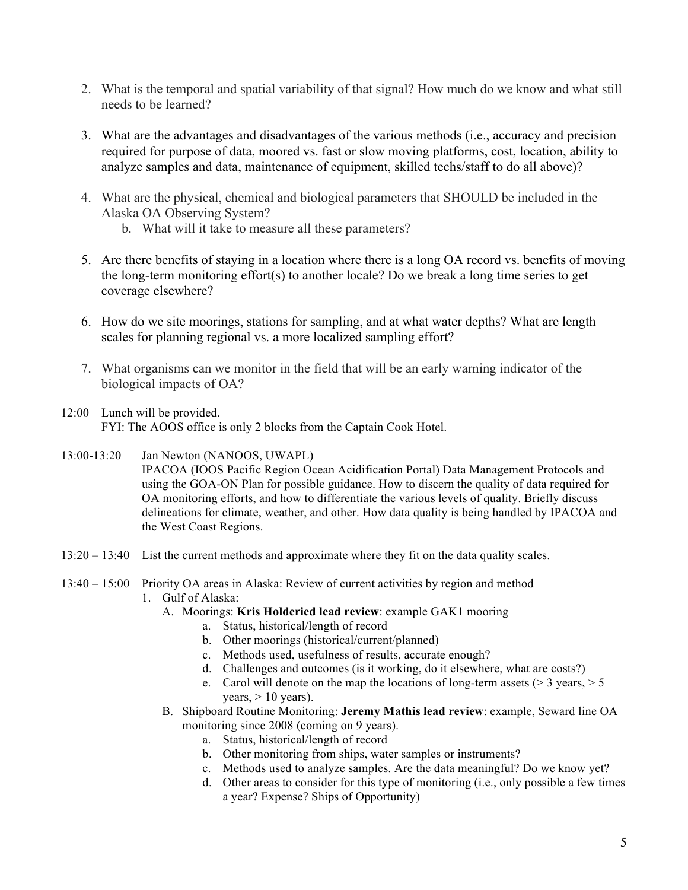- 2. What is the temporal and spatial variability of that signal? How much do we know and what still needs to be learned?
- 3. What are the advantages and disadvantages of the various methods (i.e., accuracy and precision required for purpose of data, moored vs. fast or slow moving platforms, cost, location, ability to analyze samples and data, maintenance of equipment, skilled techs/staff to do all above)?
- 4. What are the physical, chemical and biological parameters that SHOULD be included in the Alaska OA Observing System?
	- b. What will it take to measure all these parameters?
- 5. Are there benefits of staying in a location where there is a long OA record vs. benefits of moving the long-term monitoring effort(s) to another locale? Do we break a long time series to get coverage elsewhere?
- 6. How do we site moorings, stations for sampling, and at what water depths? What are length scales for planning regional vs. a more localized sampling effort?
- 7. What organisms can we monitor in the field that will be an early warning indicator of the biological impacts of OA?
- 12:00 Lunch will be provided. FYI: The AOOS office is only 2 blocks from the Captain Cook Hotel.
- 13:00-13:20 Jan Newton (NANOOS, UWAPL) IPACOA (IOOS Pacific Region Ocean Acidification Portal) Data Management Protocols and using the GOA-ON Plan for possible guidance. How to discern the quality of data required for OA monitoring efforts, and how to differentiate the various levels of quality. Briefly discuss delineations for climate, weather, and other. How data quality is being handled by IPACOA and the West Coast Regions.
- 13:20 13:40 List the current methods and approximate where they fit on the data quality scales.
- 13:40 15:00 Priority OA areas in Alaska: Review of current activities by region and method
	- 1. Gulf of Alaska:
		- A. Moorings: **Kris Holderied lead review**: example GAK1 mooring
			- a. Status, historical/length of record
			- b. Other moorings (historical/current/planned)
			- c. Methods used, usefulness of results, accurate enough?
			- d. Challenges and outcomes (is it working, do it elsewhere, what are costs?)
			- e. Carol will denote on the map the locations of long-term assets ( $>$  3 years,  $>$  5 years,  $> 10$  years).
		- B. Shipboard Routine Monitoring: **Jeremy Mathis lead review**: example, Seward line OA monitoring since 2008 (coming on 9 years).
			- a. Status, historical/length of record
			- b. Other monitoring from ships, water samples or instruments?
			- c. Methods used to analyze samples. Are the data meaningful? Do we know yet?
			- d. Other areas to consider for this type of monitoring (i.e., only possible a few times a year? Expense? Ships of Opportunity)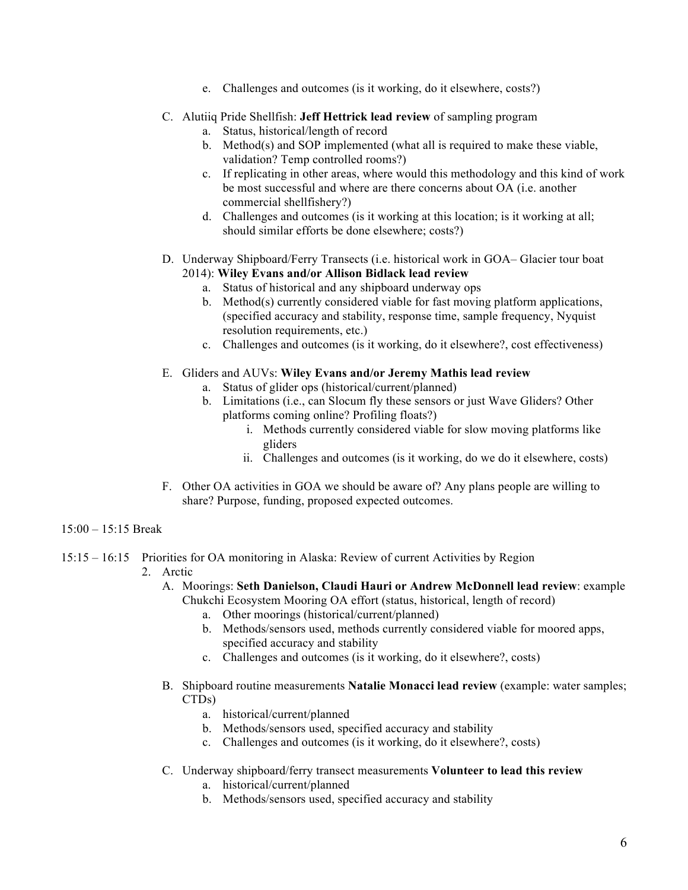e. Challenges and outcomes (is it working, do it elsewhere, costs?)

## C. Alutiiq Pride Shellfish: **Jeff Hettrick lead review** of sampling program

- a. Status, historical/length of record
- b. Method(s) and SOP implemented (what all is required to make these viable, validation? Temp controlled rooms?)
- c. If replicating in other areas, where would this methodology and this kind of work be most successful and where are there concerns about OA (i.e. another commercial shellfishery?)
- d. Challenges and outcomes (is it working at this location; is it working at all; should similar efforts be done elsewhere; costs?)

#### D. Underway Shipboard/Ferry Transects (i.e. historical work in GOA– Glacier tour boat 2014): **Wiley Evans and/or Allison Bidlack lead review**

- a. Status of historical and any shipboard underway ops
- b. Method(s) currently considered viable for fast moving platform applications, (specified accuracy and stability, response time, sample frequency, Nyquist resolution requirements, etc.)
- c. Challenges and outcomes (is it working, do it elsewhere?, cost effectiveness)

### E. Gliders and AUVs: **Wiley Evans and/or Jeremy Mathis lead review**

- a. Status of glider ops (historical/current/planned)
- b. Limitations (i.e., can Slocum fly these sensors or just Wave Gliders? Other platforms coming online? Profiling floats?)
	- i. Methods currently considered viable for slow moving platforms like gliders
	- ii. Challenges and outcomes (is it working, do we do it elsewhere, costs)
- F. Other OA activities in GOA we should be aware of? Any plans people are willing to share? Purpose, funding, proposed expected outcomes.

## 15:00 – 15:15 Break

- 15:15 16:15 Priorities for OA monitoring in Alaska: Review of current Activities by Region
	- 2. Arctic
		- A. Moorings: **Seth Danielson, Claudi Hauri or Andrew McDonnell lead review**: example Chukchi Ecosystem Mooring OA effort (status, historical, length of record)
			- a. Other moorings (historical/current/planned)
			- b. Methods/sensors used, methods currently considered viable for moored apps, specified accuracy and stability
			- c. Challenges and outcomes (is it working, do it elsewhere?, costs)
		- B. Shipboard routine measurements **Natalie Monacci lead review** (example: water samples; CTDs)
			- a. historical/current/planned
			- b. Methods/sensors used, specified accuracy and stability
			- c. Challenges and outcomes (is it working, do it elsewhere?, costs)
		- C. Underway shipboard/ferry transect measurements **Volunteer to lead this review**
			- a. historical/current/planned
			- b. Methods/sensors used, specified accuracy and stability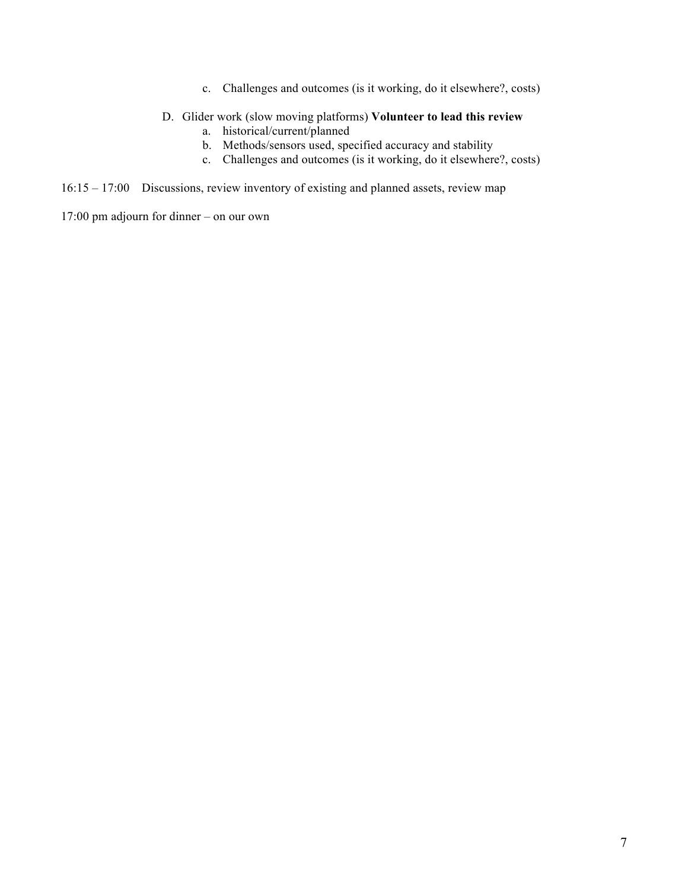c. Challenges and outcomes (is it working, do it elsewhere?, costs)

#### D. Glider work (slow moving platforms) **Volunteer to lead this review**

- a. historical/current/planned
- b. Methods/sensors used, specified accuracy and stability
- c. Challenges and outcomes (is it working, do it elsewhere?, costs)

16:15 – 17:00 Discussions, review inventory of existing and planned assets, review map

17:00 pm adjourn for dinner – on our own